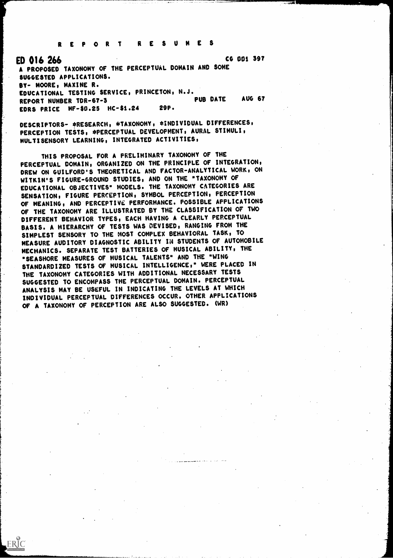REPORT RESUMES

ED 016266 CO 001 397 A PROPOSED TAXONOMY OF THE PERCEPTUAL DOMAIN AND SOME SUGGESTED APPLICATIONS. BY- MOORE, MAXINE R. EDUCATIONAL TESTING SERVICE, PRINCETON, N.J.<br>PUB DATE REPORT NUMBER TDR-67-3<br>FORS PRICE ME-\$0.25 HC-\$1.24 29P. EDRS PRICE  $MF-50.25$  HC-\$1.24

DESCRIPTORS- \*RESEARCH, \*TAXONOMY, \*INDIVIDUAL DIFFERENCES, PERCEPTION TESTS, \*PERCEPTUAL DEVELOPMENT, AURAL STIMULI, MULTISENSORY LEARNING, INTEGRATED ACTIVITIES,

THIS PROPOSAL FOR A PRELIMINARY TAXONOMY OF THE PERCEPTUAL DOMAIN, ORGANIZED ON THE PRINCIPLE OF INTEGRATION, DREW ON GUILFORD'S THEORETICAL AND FACTOR-ANALYTICAL WORK, ON WITKIN'S FIGURE-GROUND STUDIES, AND ON THE "TAXONOMY OF EDUCATIONAL OBJECTIVES" MODELS. THE TAXONOMY CATEGORIES ARE SENSATION, FIGURE PERCEPTION, SYMBOL PERCEPTION, PERCEPTION OF MEANING, AND.PERCEPTIVE PERFORMANCE. POSSIBLE APPLICATIONS OF THE TAXONOMY ARE ILLUSTRATED BY THE CLASSIFICATION OF TWO DIFFERENT BEHAVIOR TYPES, EACH HAVING A CLEARLY PERCEPTUAL BASIS. A HIERARCHY OF TESTS WAS DEVISED, RANGING FROM THE SIMPLEST SENSORY TO THE MOST COMPLEX BEHAVIORAL TASK, TO MEASURE AUDITORY DIAGNOSTIC ABILITY IN STUDENTS OF AUTOMOBILE MECHANICS. SEPARATE TEST BATTERIES OF MUSICAL ABILITY, THE "SEASHORE MEASURES OF MUSICAL TALENTS" AND THE "WING STANDARDIZED TESTS OF MUSICAL INTELLIGENCE," WERE PLACED IN THE TAXONOMY CATEGORIES WITH ADDITIONAL NECESSARY TESTS SUGGESTED TO ENCOMPASS THE PERCEPTUAL DOMAIN. PERCEPTUAL ANALYSIS MAY BE USEFUL IN INDICATING THE LEVELS AT WHICH INDIVIDUAL PERCEPTUAL DIFFERENCES OCCUR. OTHER APPLICATIONS OF A TAXONOMY OF PERCEPTION ARE ALSO SUGGESTED. (WR)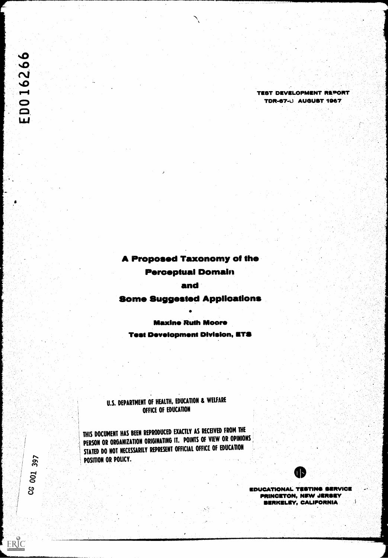ED016266

## A Proposed Taxonomy of the

## Perceptual Domain

#### and

## Some Suggested Applications

#### Maximo Ruth Moore

**Test Development Division, ETS** 

## U.S. DEPARTMENT OF HEALTH, EDUCATION & WELFARE OFFICE OF EDUCATION

THIS DOCUMENT HAS BEEN REPRODUCED EXACTLY AS RECEIVED FROM THE PERSON OR ORGANIZATION ORIGINATING IT. POINTS OF VIEW OR OPINIONS STATED DO NOT NECESSARILY REPRESENT OFFICIAL OFFICE OF EDUCATION POSITION OR POLICY.



TEST DEVELOPMENT REPORT TOR-57-0 AUGUST 1067

EDUCATIONAL TESTING SERVICE PRINCETON, NEW JERSEY<br>DERKELEY, CALIFORNIA SERKELEV, CALIFORNIA

CG 001 397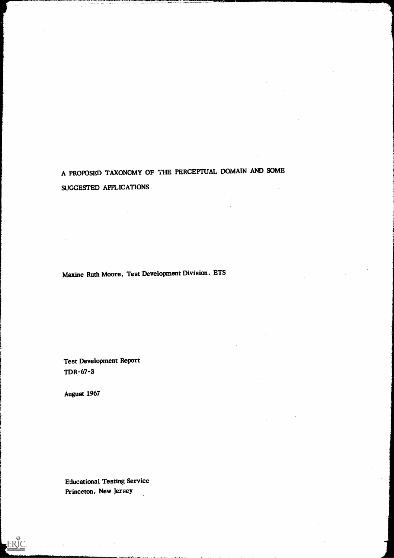# A PROPOSED TAXONOMY OF THE PERCEPTUAL DOMAIN AND SOME SUGGESTED APPLICATIONS

Maxine Ruth Moore, Test Development Division, ETS

Test Development Report TDR-67-3

August 1967

ERIC

Educational Testing Service Princeton, New Jersey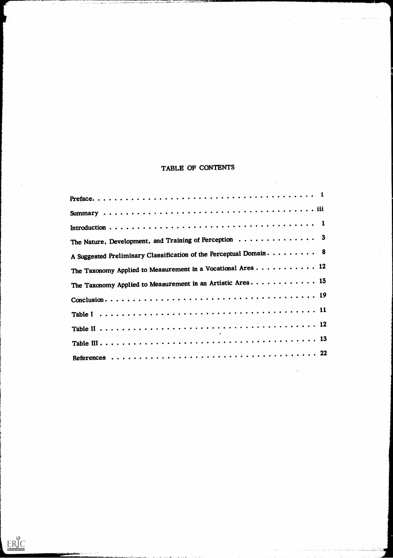## TABLE OF CONTENTS

| The Nature, Development, and Training of Perception $\ldots \ldots \ldots \ldots$ 3 |
|-------------------------------------------------------------------------------------|
|                                                                                     |
| The Taxonomy Applied to Measurement in a Vocational Area 12                         |
| The Taxonomy Applied to Measurement in an Artistic Area 15                          |
|                                                                                     |
|                                                                                     |
|                                                                                     |
|                                                                                     |
|                                                                                     |
|                                                                                     |
|                                                                                     |

 $\sum_{\text{Fullact products}}$ 

 $\sim$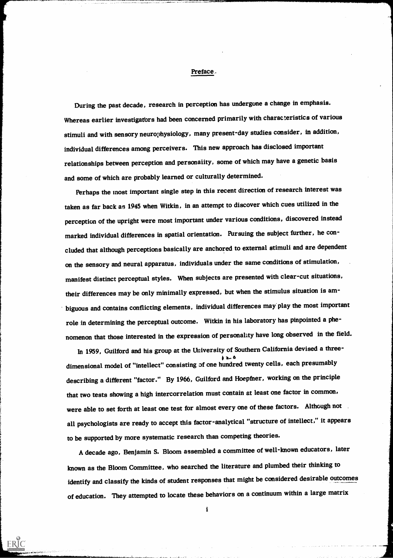#### Preface..

During the past decade, research in perception has undergone a change in emphasis. Whereas earlier investigators had been concerned primarily with characteristics of various stimuli and with sensory neurophysiology, many present-day studies consider, in addition, individual differences among perceivers. This new approach has disclosed important relationships between perception and personality, some of which may have a genetic basis and some of which are probably learned or culturally determined.

Perhaps the most important single step in this recent direction of research interest was taken as far back as 1945 when Witkin, in an attempt to discover which cues utilized in the perception of the upright were most important under various conditions, discovered instead marked individual differences in spatial orientation. Pursuing the subject further, he concluded that although perceptions basically are anchored to external stimuli and are dependent on the sensory and neural apparatus, individuals under the same conditions of stimulation, manifest distinct perceptual styles. When subjects are presented with clear-cut situations, their differences may be only minimally expressed, but when the stimulus situation is ambiguous and contains conflicting elements, individual differences may play the most important role in determining the perceptual outcome. Witkin in his laboratory has pinpointed a phenomenon that those interested in the expression of personality have long observed in the field.

In 1959, Guilford and his group at the University of Southern California devised a three- $\lambda$ dimensional model of "intellect" consisting of one hundred twenty cells, each presumably describing a different "factor." By 1966, Guilford and Hoepfner, working on the principle that two tests showing a high intercorrelation must contain at least one factor in common, were able to set forth at least one test for almost every one of these factors. Although not all psychologists are ready to accept this factor-analytical "structure of intellect," it appears to be supported by more systematic research than competing theories.

A decade ago, Benjamin S. Bloom assembled a committee of well-known educators, later known as the Bloom Committee, who searched the literature and plumbed their thinking to identify and classify the kinds of student responses that might be considered desirable outcomes of education. They attempted to locate these behaviors on a continuum within a large matrix

 $\mathbf{i}$ 

**FRIC**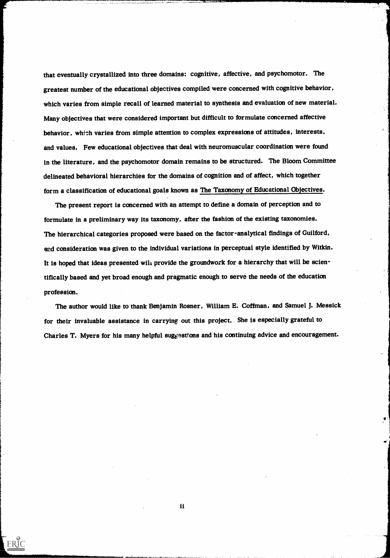that eventually crystallized into three domains: cognitive, affective, and psychomotor. The greatest number of the educational objectives compiled were concerned with cognitive behavior, which varies from simple recall of learned material to synthesis and evaluation of new material. Many objectives that were considered important but difficult to formulate concerned affective behavior, which varies from simple attention to complex expressions of attitudes, interests, and values. Few educational objectives that deal with neuromuscular coordination were found in the literature, and the psychomotor domain remains to be structured. The Bloom Committee delineated behavioral hierarchies for the domains of cognition and of affect, which together form a classification of educational goals known as The Taxonomy of Educational Objectives.

The present report is concerned with an attempt to define a domain of perception and to formulate in a preliminary way its taxonomy, after the fashion of the existing taxonomies. The hierarchical categories proposed were based on the factor-analytical findings of Guilford, and consideration was given to the individual variations in perceptual style identified by Witkin. It is hoped that ideas presented will provide the groundwork for a hierarchy that will be scientifically based and yet broad enough and pragmatic enough to serve the needs of the education profession.

The author would like to thank Benjamin Rosner, William E. Coffman, and Samuel J. Messick for their invaluable assistance in carrying out this project. She is especially grateful to Charles T. Myers for his many helpful suggestions and his continuing advice and encouragement.

ii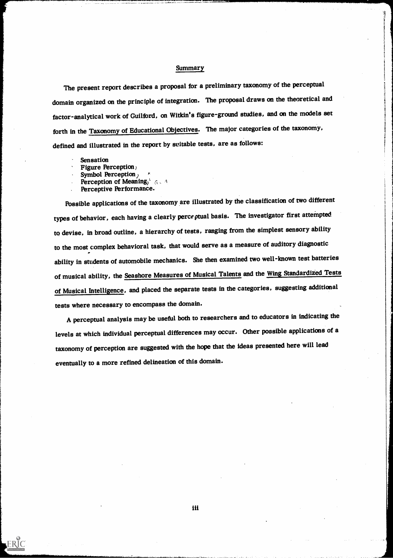#### **Summary**

The present report describes a proposal for a preliminary taxonomy of the perceptual domain organized on the principle of integration. The proposal draws on the theoretical and factor-analytical work of Guilford, on Witkin's figure-ground studies, and on the models set forth in the Taxonomy of Educational Objectives. The major categories of the taxonomy, defined and illustrated in the report by suitable tests, are as follows:

Sensation

ERIC

- Figure Perception;
- Symbol Perception<sub>)</sub>
- Perception of Meaning,  $4.64$
- Perceptive Performance.

Possible applications of the taxonomy are illustrated by the classification of two different types of behavior, each having a clearly perceptual basis. The investigator first attempted to devise, in broad outline, a hierarchy of tests, ranging from the simplest sensory ability to the most complex behavioral task, that would serve as a measure of auditory diagnostic ability in students of automobile mechanics. She then examined two well-known test batteries of musical ability, the Seashore Measures of Musical Talents and the Wing Standardized Tests of Musical Intelligence, and placed the separate tests in the categories, suggesting additional tests where necessary to encompass the domain.

A perceptual analysis may be useful both to researchers and to educators in indicating the levels at which individual perceptual differences may occur. Other possible applications of a taxonomy of perception are suggested with the hope that the ideas presented here will lead eventually to a more refined delineation of this domain.

iii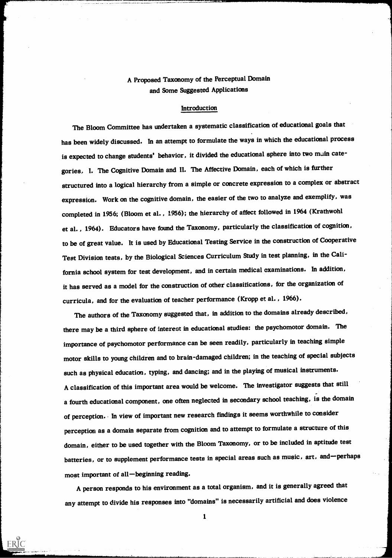## A Proposed Taxonomy of the Perceptual Domain and Some Suggested Applications

#### Introduction

The Bloom Committee has undertaken a systematic classification of educational goals that has been widely discussed. In an attempt to formulate the ways in which the educational process is expected to change students' behavior, it divided the educational sphere into two muin categories, I. The Cognitive Domain and II. The Affective Domain, each of which is further structured into a logical hierarchy from a simple or concrete expression to a complex or abstract expression. Work on the cognitive domain, the easier of the two to analyze and exemplify, was completed in 1956; (Bloom et al. , 1956); the hierarchy of affect followed in 1964 (Krathwohl et al. , 1964). Educators have found the Taxonomy, particularly the classification of cognition, to be of great value. It is used by Educational Testing Service in the construction of Cooperative Test Division tests, by the Biological Sciences Curriculum Study in test planning, in the California school system for test development, and in certain medical examinations. In addition, it has served as a model for the construction of other classifications, for the organization of curricula, and for the evaluation of teacher performance (Kropp et al. , 1966).

The authors of the Taxonomy suggested that, in addition to the domains already described, there may be a third sphere of interest in educational studies: the psychomotor domain. The importance of psychomotor performance can be seen readily, particularly in teaching simple motor skills to young children and to brain-damaged children; in the teaching of special subjects such as physical education, typing, and dancing; and in the playing of musical instruments. A classification of this important area would be welcome. The investigator suggests that still a fourth educational component, one often neglected in secondary school teaching, is the domain of perception.. In view of important new research findings it seems worthwhile to consider perception as a domain separate from cognition and to attempt to formulate a structure of this domain, either to be used together with the Bloom Taxonomy, or to be included in aptitude test batteries, or to supplement performance tests in special areas such as music, art, and-perhaps most important of all-beginning reading.

A person responds to his environment as a total organism, and it is generally agreed that any attempt to divide his responses into "domains" is necessarily artificial and does violence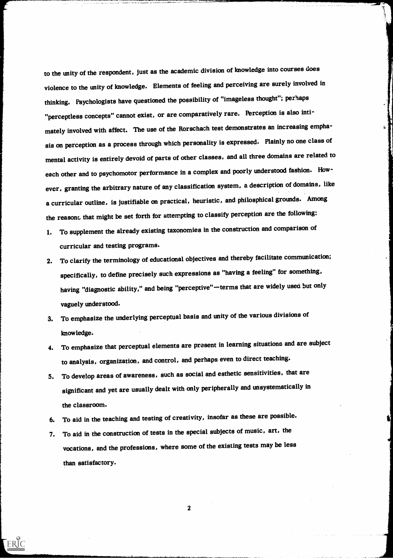to the unity of the respondent, just as the academic division of knowledge into courses does violence to the unity of knowledge. Elements of feeling and perceiving are surely involved in thinking. Psychologists have questioned the possibility of "imageless thought"; perhaps "perceptless concepts" cannot exist, or are comparatively rare. Perception is also intimately involved with affect. The use of the Rorschach test demonstrates an increasing emphasis on perception as a process through which personality is expressed. Plainly no one class of mental activity is entirely devoid of parts of other classes, and all three domains are related to each other and to psychomotor performance in a complex and poorly understood fashion. However, granting the arbitrary nature of any classification system, a description of domains, like a curricular outline, is justifiable on practical, heuristic, and philosphical grounds. Among the reasons that might be set forth for attempting to classify perception are the following:

- 1. To supplement the already existing taxonomies in the construction and comparison of curricular and testing programs.
- 2. To clarify the terminology of educational objectives and thereby facilitate communication; specifically, to define precisely such expressions as "having a feeling" for something, having "diagnostic ability," and being "perceptive"-terms that are widely used but only vaguely understood.
- 3. To emphasize the underlying perceptual basis and unity of the various divisions of knowledge.
- 4. To emphasize that perceptual elements are present in learning situations and are subject to analysis, organization, and control, and perhaps even to direct teaching.
- 5. To develop areas of awareness, such as social and esthetic sensitivities, that are significant and yet are usually dealt with only peripherally and unsystematically in the classroom.
- 6. To aid in the teaching and testing of creativity, insofar as these are possible.
- 7. To aid in the construction of tests in the special subjects of music, art, the vocations, and the professions, where some of the existing tests may be less than satisfactory.

ERIC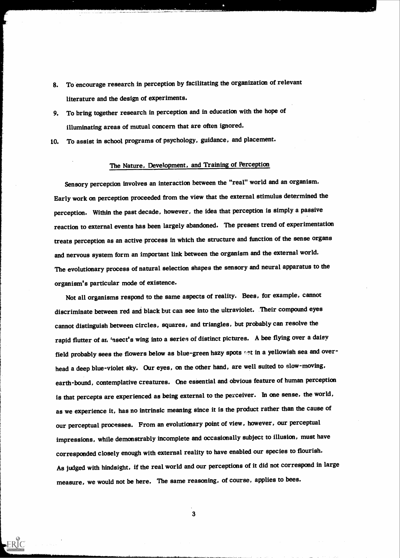- 8. To encourage research in perception by facilitating the organization of relevant literature and the design of experiments.
- 9. To bring together research in perception and in education with the hope of illuminating areas of mutual concern that are often ignored.
- 10. To assist in school programs of psychology, guidance, and placement.

## The Nature, Development, and Training of Perception

Sensory perception involves an interaction between the "real" world and an organism. Early work on perception proceeded from the view that the external stimulus determined the perception. Within the past decade, however, the idea that perception is simply a passive reaction to external events has been largely abandoned. The present trend of experimentation treats perception as an active process in which the structure and function of the sense organs and nervous system form an important link between the organism and the external world. The evolutionary process of natural selection shapes the sensory and neural apparatus to the organism's particular mode of existence.

Not all organisms respond to the same aspects of reality. Bees, for example, cannot discriminate between red and black but can see into the ultraviolet. Their compound eyes cannot distinguish between circles, squares, and triangles, but probably can resolve the rapid flutter of ar. 'nsect's wing into a series of distinct pictures. A bee flying over a daisy field probably sees the flowers below as blue-green hazy spots set in a yellowish sea and overhead a deep blue-violet sky. Our eyes, on the other hand, are well suited to slow-moving, earth-bound, contemplative creatures. One essential and obvious feature of human perception is that percepts are experienced as being external to the perceiver. In one sense, the world, as we experience it, has no intrinsic meaning since it is the product rather than the cause of our perceptual processes. From an evolutionary point of view, however, our perceptual impressions, while demonstrably incomplete and occasionally subject to illusion, must have onded closely enough with external reality to have enabled our species to flourish. As judged with hindsight, if the real world and our perceptions of it did not correspond in large measure, we would not be here. The same reasoning, of course, applies to bees.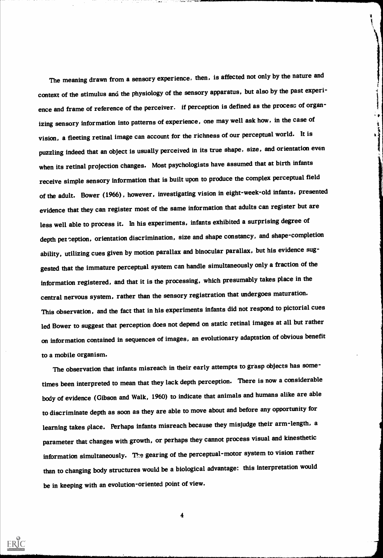The meaning drawn from a sensory experience, then, is affected not only by the nature and context of the stimulus and the physiology of the sensory apparatus, but also by the past experience and frame of reference of the perceiver. If perception is defined as the process of organizing sensory information into patterns of experience, one may well ask how, in the case of vision, a fleeting retinal image can account for the richness of our perceptual world. It is puzzling indeed that an object is usually perceived in its true shape, size, and orientation even when its retinal projection changes. Most psychologists have assumed that at birth infants receive simple sensory information that is built upon to produce the complex perceptual field of the adult. Bower (1966), however, investigating vision in eight-week-old infants, presented evidence that they can register most of the same information that adults can register but are less well able to process it. In his experiments, infants exhibited a surprising degree of depth per eption, orientation discrimination, size and shape constancy, and shape-completion ability, utilizing cues given by motion parallax and binocular parallax, but his evidence suggested that the immature perceptual system can handle simultaneously only a fraction of the information registered, and that it is the processing, which presumably takes place in the central nervous system, rather than the sensory registration that undergoes maturation. This observation, and the fact that in his experiments infants did not respond to pictorial cues led Bower to suggest that perception does not depend on static retinal images at all but rather on information contained in sequences of images, an evolutionary adaptation of obvious benefit to a mobile organism.

Į

 $\frac{1}{2}$  and  $\frac{1}{2}$  and  $\frac{1}{2}$ 

The observation that infants misreach in their early attempts to grasp objects has sometimes been interpreted to mean that they lack depth perception. There is now a considerable body of evidence (Gibson and Walk, 1960) to indicate that animals and humans alike are able to discriminate depth as soon as they are able to move about and before any opportunity for learning takes place. Perhaps infants misreach because they misjudge their arm-length, a parameter that changes with growth, or perhaps they cannot process visual and kinesthetic information simultaneously. The gearing of the perceptual-motor system to vision rather than to changing body structures would be a biological advantage: this interpretation would be in keeping with an evolution-oriented point of view.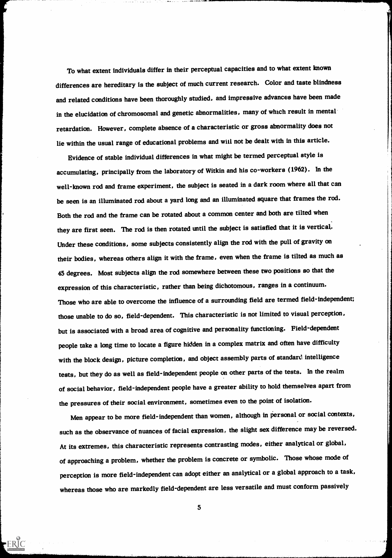To what extent individuals differ in their perceptual capacities and to what extent known differences are hereditary is the subject of much current research. Color and taste blindness and related conditions have been thoroughly studied, and impressive advances have been made in the elucidation of chromosomal and genetic abnormalities, many of which result in mental retardation. However, complete absence of a characteristic or gross abnormality does not lie within the usual range of educational problems and will not be dealt with in this article.

Evidence of stable individual differences in what might be termed perceptual style is accumulating, principally from the laboratory of Witkin and his co-workers (1962). In the well-known rod and frame experiment, the subject is seated in a dark room where all that can be seen is an illuminated rod about a yard long and an illuminated square that frames the rod. Both the rod and the frame can be rotated about a common center and both are tilted when they are first seen. The rod is then rotated until the subject is satisfied that it is vertical. Under these conditions, some subjects consistently align the rod with the pull of gravity on their bodies, whereas others align it with the frame, even when the frame is tilted as much as 45 degrees. Most subjects align the rod somewhere between these two positions so that the expression of this characteristic, rather than being dichotomous, ranges in a continuum. Those who are able to overcome the influence of a surrounding field are termed field-independent; those unable to do so, field-dependent. This characteristic is not limited to visual perception, but is associated with a broad area of cognitive and personality functioning. Field-dependent people take a long time to locate a figure hidden in a complex matrix and often have difficulty with the block design, picture completion, and object assembly parts of standard intelligence tests, but they do as well as field-independent people on other parts of the tests. In the realm of social behavior, field-independent people have a greater ability to hold themselves apart from the pressures of their social environment, sometimes even to the point of isolation.

Men appear to be more field-independent than women, although in personal or social contexts, such as the observance of nuances of facial expression, the slight sex difference may be reversed. At its extremes, this characteristic represents contrasting modes, either analytical or global, oaching a problem, whether the problem is concrete or symbolic. Those whose mode of perception is more field-independent can adopt either an analytical or a global approach to a task, whereas those who are markedly field-dependent are less versatile and must conform passively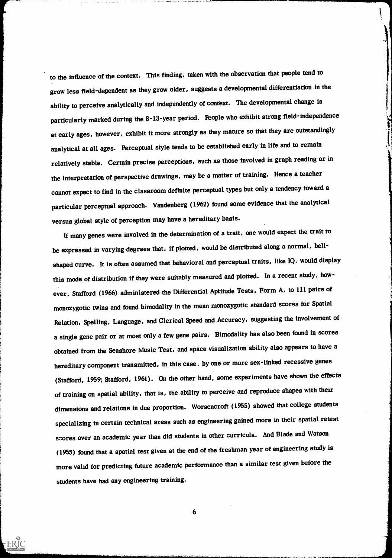to the influence of the context. This finding, taken with the observation that people tend to grow less field-dependent as they grow older, suggests a developmental differentiation in the ability to perceive analytically and independently of context. The developmental change is particularly marked during the 8-13-year period. People who exhibit strong field-independence at early ages, however, exhibit it more strongly as they mature so that they are outstandingly analytical at all ages. Perceptual style tends to be established early in life and to remain relatively stable. Certain precise perceptions, such as those involved in graph reading or in the interpretation of perspective drawings, may be a matter of training. Hence a teacher cannot expect to find in the classroom definite perceptual types but only a tendency toward a particular perceptual approach. Vandenberg (1962) found some evidence that the analytical versus global style of perception may have a hereditary basis.

If many genes were involved in the determination of a trait, one would expect the trait to be expressed in varying degrees that, if plotted, would be distributed along a normal, bellshaped curve. It is often assumed that behavioral and perceptual traits, like IQ, would display this mode of distribution if they were suitably measured and plotted. In a recent study, however, Stafford (1966) administered the Differential Aptitude Tests, Form A, to 111 pairs of monozygotic twins and found bimodality in the mean monozygotic standard scores for Spatial Relation, Spelling, Language, and Clerical Speed and Accuracy, suggesting the involvement of a single gene pair or at most only a few gene pairs. Bimodality has also been found in scores obtained from the Seashore Music Test, and space visualization ability also appears to have a hereditary component transmitted, in this case, by one or more sex-linked recessive genes (Stafford, 1959; Stafford, 1961). On the other hand, some experiments have shown the effects of training on spatial ability, that is, the ability to perceive and reproduce shapes with their dimensions and relations in due proportion. Worsencroft (1955) showed that college students specializing in certain technical areas such as engineering gained more in their spatial retest scores over an academic year than did students in other curricula. And Blade and Watson (1955) found that a spatial test given at the end of the freshman year of engineering study is more valid for predicting future academic performance than a similar test given before the students have had any engineering training.

6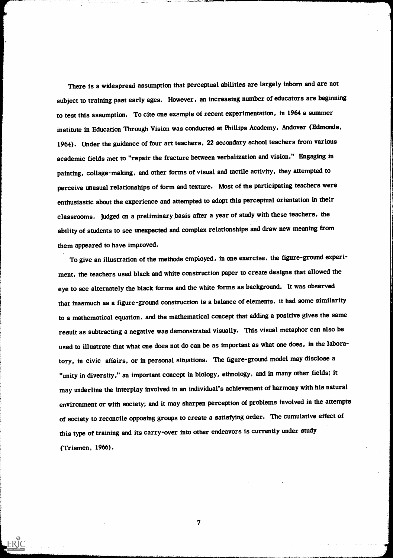There is a widespread assumption that perceptual abilities are largely inborn and are not subject to training past early ages. However, an increasing number of educators are beginning to test this assumption. To cite one example of recent experimentation, in 1964 a summer institute in Education Through Vision was conducted at Phillips Academy, Andover (Edmonds, 1964). Under the guidance of four art teachers, 22 secondary school teachers from various academic fields met to "repair the fracture between verbalization and vision." Engaging in painting, collage-making, and other forms of visual and tactile activity, they attempted to perceive unusual relationships of form and texture. Most of the participating teachers were enthusiastic about the experience and attempted to adopt this perceptual orientation in their classrooms. Judged on a preliminary basis after a year of study with these teachers, the ability of students to see unexpected and complex relationships and draw new meaning from them appeared to have improved.

7"4,WJaTa.....wr

To give an illustration of the methods employed, in one exercise, the figure-ground experiment, the teachers used black and white construction paper to create designs that allowed the eye to see alternately the black forms and the white forms as background. It was observed that inasmuch as a figure-ground construction is a balance of elements, it had some similarity to a mathematical equation, and the mathematical concept that adding a positive gives the same result as subtracting a negative was demonstrated visually. This visual metaphor can also be used to illustrate that what one does not do can be as important as what one does, in the laboratory, in civic affairs, or in personal situations. The figure-ground model may disclose a "unity in diversity," an important concept in biology, ethnology, and in many other fields; it may underline the interplay involved in an individual's achievement of harmony with his natural environment or with society; and it may sharpen perception of problems involved in the attempts of society to reconcile opposing groups to create a satisfying order. The cumulative effect of this type of training and its carry-over into other endeavors is currently under study (Trismen, 1966).

7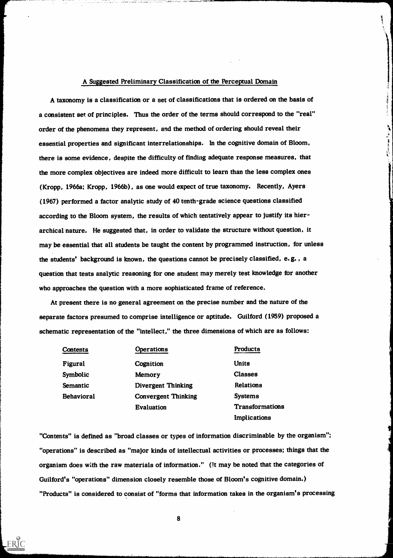#### A Suggested Preliminary Classification of the Perceptual Domain

A taxonomy is a classification or a set of classifications that is ordered on the basis of a consistent set of principles. Thus the order of the terms should correspond to the "real" order of the phenomena they represent, and the method of ordering should reveal their essential properties and significant interrelationships. In the cognitive domain of Bloom, there is some evidence, despite the difficulty of finding adequate response measures, that the more complex objectives are indeed more difficult to learn than the less complex ones (Kropp, 1966a; Kropp, 1966b), as one would expect of true taxonomy. Recently, Ayers (1967) performed a factor analytic study of 40 tenth-grade science questions classified according to the Bloom system, the results of which tentatively appear to justify its hierarchical nature. He suggested that, in order to validate the structure without question, it may be essential that all students be taught the content by programmed instruction, for unless the students' background is known, the questions cannot be precisely classified, e.g. , a question that tests analytic reasoning for one student may merely test knowledge for another who approaches the question with a more sophisticated frame of reference.

At present there is no general agreement on the precise number and the nature of the separate factors presumed to comprise intelligence or aptitude. Guilford (1959) proposed a schematic representation of the "intellect," the three dimensions of which are as follows:

| Contents          | <b>Operations</b>          | Products        |
|-------------------|----------------------------|-----------------|
| Figural           | Cognition                  | <b>Units</b>    |
| Symbolic          | Memory                     | <b>Classes</b>  |
| <b>Semantic</b>   | <b>Divergent Thinking</b>  | Relations       |
| <b>Behavioral</b> | <b>Convergent Thinking</b> | <b>Systems</b>  |
|                   | <b>Evaluation</b>          | Transformations |
|                   |                            | Implications    |

"Contents" is defined as "broad classes or types of information discriminable by the organism"; "operations" is described as "major kinds of intellectual activities or processes; things that the organism does with the raw materials of information." (!t may be noted that the categories of Guilford's "operations" dimension closely resemble those of Bloom's cognitive domain.) "Products" is considered to consist of "forms that information takes in the organism's processing

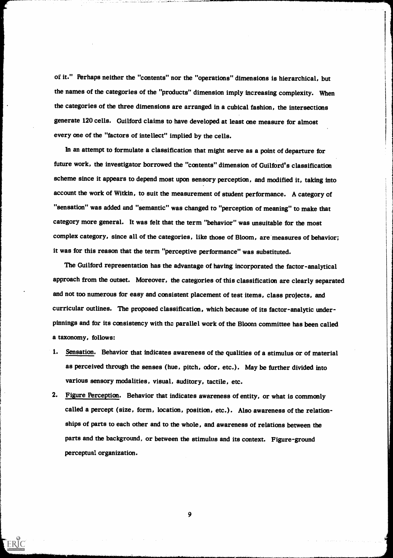of it." Perhaps neither the "contents" nor the "operations" dimensions is hierarchical, but the names of the categories of the "products" dimension imply increasing complexity. When the categories of the three dimensions are arranged in a cubical fashion, the intersections generate 120 cells. Guilford claims to have developed at least one measure for almost every one of the "factors of intellect" implied by the cells.

In an attempt to formulate a classification that might serve as a point of departure for future work, the investigator borrowed the "contents" dimension of Guilford's classification scheme since it appears to depend most upon sensory perception, and modified it, taking into account the work of Witkin, to suit the measurement of student performance. A category of "sensation" was added and "semantic" was changed to "perception of meaning" to make that category more general. It was felt that the term "behavior" was unsuitable for the most complex category, since all of the categories, like those of Bloom, are measures of behavior; it was for this reason that the term "perceptive performance" was substituted.

The Guilford representation has the advantage of having incorporated the factor-analytical approach from the outset. Moreover, the categories of this classification are clearly separated and not too numerous for easy and consistent placement of test items, class projects, and curricular outlines. The proposed classification, which because of its factor-analytic underpinnings and for its consistency with the parallel work of the Bloom committee has been called a taxonomy, follows:

- 1. Sensation. Behavior that indicates awareness of the qualities of a stimulus or of material as perceived through the senses (hue, pitch, odor, etc.). May be further divided into various sensory modalities, visual, auditory, tactile, etc.
- 2. Figure Perception. Behavior that indicates awareness of entity, or what is commonly called a percept (size, form, location, position, etc.). Also awareness of the relationships of parts to each other and to the whole, and awareness of relations between the parts and the background, or between the stimulus and its context. Figure-ground perceptual organization.

9

 $\mathcal{O}(\mathcal{A})$  and  $\mathcal{O}(\mathcal{A})$  and  $\mathcal{O}(\mathcal{A})$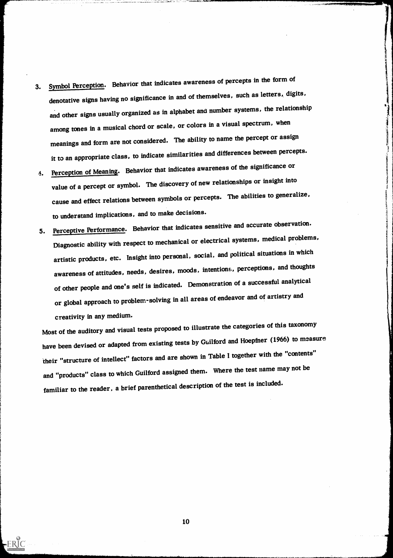3. Symbol Perception. Behavior that indicates awareness of percepts in the form of denotative signs having no significance in and of themselves, such as letters, digits, and other signs usually organized as in alphabet and number systems, the relationship among tones in a musical chord or scale, or colors in a visual spectrum, when meanings and form are not considered. The ability to name the percept or assign it to an appropriate class, to indicate similarities and differences between percepts.

The Charles of the Company of the Company of the Company of the Company of the Company of the Company of the Company of the Company of the Company of the Company of the Company of the Company of the Company of the Company

- 4. Perception of Meaning. Behavior that indicates awareness of the significance or value of a percept or symbol. The discovery of new relationships or insight into cause and effect relations between symbols or percepts. The abilities to generalize, to understand implications, and to make decisions.
- 5. Perceptive Performance. Behavior that indicates sensitive and accurate observation. Diagnostic ability with respect to mechanical or electrical systems, medical problems, artistic products, etc. Insight into personal, social, and political situations in which awareness of attitudes, needs, desires, moods, intentions, perceptions, and thoughts of other people and one's self is indicated. Demonstration of a successful analytical or global approach to problem-solving in all areas of endeavor and of artistry and creativity in any medium.

Most of the auditory and visual tests proposed to illustrate the categories of this taxonomy have been devised or adapted from existing tests by Guilford and Hoepfner (1966) to measure their "structure of intellect" factors and are shown in Table I together with the "contents" and "products" class to which Guilford assigned them. Where the test name may not be familiar to the reader, a brief parenthetical description of the test is included.

10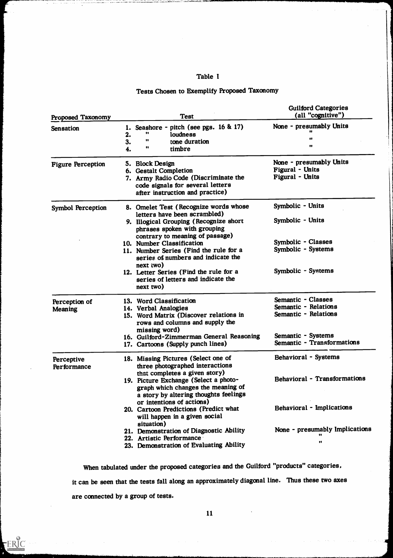### Table I

## Tests Chosen to Exemplify Proposed Taxonomy

| Proposed Taxonomy         | <b>Test</b>                                                                                                                                             | <b>Guilford Categories</b><br>(all "cognitive")               |
|---------------------------|---------------------------------------------------------------------------------------------------------------------------------------------------------|---------------------------------------------------------------|
| <b>Sensation</b>          | Seashore - pitch (see pgs. 16 & 17)<br>loudness<br>2.<br>11<br>tone duration<br>3.<br>88<br>timbre<br>4.                                                | None - presumably Units<br><br>                               |
| <b>Figure Perception</b>  | 5. Block Design<br>6. Gestalt Completion<br>7. Army Radio Code (Discriminate the<br>code signals for several letters<br>after instruction and practice) | None - presumably Units<br>Figural - Units<br>Figural - Units |
| <b>Symbol Perception</b>  | 8. Omelet Test (Recognize words whose<br>letters have been scrambled)                                                                                   | Symbolic - Units                                              |
|                           | 9. Illogical Grouping (Recognize short<br>phrases spoken with grouping<br>contrary to meaning of passage)                                               | Symbolic - Units                                              |
|                           | 10. Number Classification                                                                                                                               | Symbolic - Classes                                            |
|                           | 11. Number Series (Find the rule for a<br>series of numbers and indicate the<br>$next$ (wo)                                                             | Symbolic - Systems                                            |
|                           | 12. Letter Series (Find the rule for a<br>series of letters and indicate the<br>next two)                                                               | Symbolic - Systems                                            |
| Perception of             | 13. Word Classification                                                                                                                                 | Semantic - Classes                                            |
| <b>Meaning</b>            | 14. Verbal Analogies                                                                                                                                    | Semantic - Relations                                          |
|                           | 15. Word Matrix (Discover relations in<br>rows and columns and supply the<br>missing word)                                                              | Semantic - Relations                                          |
|                           | 16. Guilford-Zimmerman General Reasoning                                                                                                                | Semantic - Systems                                            |
|                           | 17. Cartoons (Supply punch lines)                                                                                                                       | Semantic - Transformations                                    |
| Perceptive<br>Performance | 18. Missing Pictures (Select one of<br>three photographed interactions<br>that completes a given story)                                                 | Behavioral - Systems                                          |
|                           | 19. Picture Exchange (Select a photo-<br>graph which changes the meaning of<br>a story by altering thoughts feelings<br>or intentions of actions)       | <b>Behavioral - Transformations</b>                           |
|                           | 20. Cartoon Predictions (Predict what<br>will happen in a given social<br>situation)                                                                    | Behavioral - Implications                                     |
|                           | 21. Demonstration of Diagnostic Ability                                                                                                                 | None - presumably Implications                                |
|                           | 22. Artistic Performance                                                                                                                                |                                                               |
|                           | 23. Demonstration of Evaluating Ability                                                                                                                 | .,                                                            |

When tabulated under the proposed categories and the Guilford "products" categories, it can be seen that the tests fall along an approximately diagonal line. Thus these two axes are connected by a group of tests.

11

-ER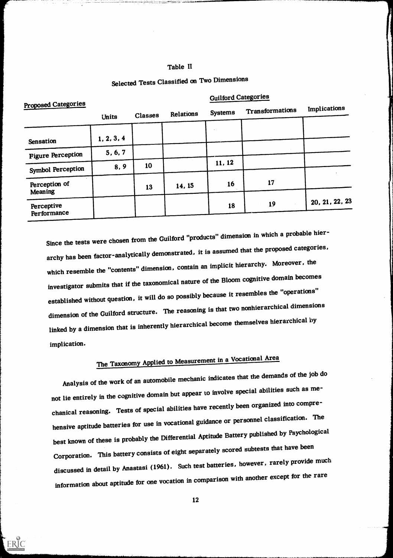#### Table II

|                                 | <b>Guilford Categories</b> |                |           |                |                 |                |  |  |
|---------------------------------|----------------------------|----------------|-----------|----------------|-----------------|----------------|--|--|
| <b>Proposed Categories</b>      | Units                      | <b>Classes</b> | Relations | <b>Systems</b> | Transformations | Implications   |  |  |
| Sensation                       | 1, 2, 3, 4                 |                |           |                |                 |                |  |  |
| <b>Figure Perception</b>        | 5, 6, 7                    |                |           |                |                 |                |  |  |
| <b>Symbol Perception</b>        | 8, 9                       | 10             |           | 11, 12         |                 |                |  |  |
| Perception of<br><b>Meaning</b> |                            | 13             | 14, 15    | 16             | 17              |                |  |  |
| Perceptive<br>Performance       |                            |                |           | 18             | 19              | 20, 21, 22, 23 |  |  |

## Selected Tests Classified on Two Dimensions

Since the tests were chosen from the Guilford "products" dimension in which a probable hierarchy has been factor-analytically demonstrated, it is assumed that the proposed categories, which resemble the "contents" dimension, contain an implicit hierarchy. Moreover, the investigator submits that if the taxonomical nature of the Bloom cognitive domain becomes established without question, it will do so possibly because it resembles the "operations" dimension of the Guilford structure. The reasoning is that two nonhierarchical dimensions linked by a dimension that is inherently hierarchical become themselves hierarchical by implication.

# The Taxonomy Applied to Measurement in a Vocational Area

Analysis of the work of an automobile mechanic indicates that the demands of the job do not lie entirely in the cognitive domain but appear to involve special abilities such as mechanical reasoning. Tests of special abilities have recently been organized into comprehensive aptitude batteries for use in vocational guidance or personnel classification. The best known of these is probably the Differential Aptitude Battery published by Psychological Corporation. This battery consists of eight separately scored subtests that have been discussed in detail by Anastasi (1961). Such test batteries, however, rarely provide much information about aptitude for one vocation in comparison with another except for the rare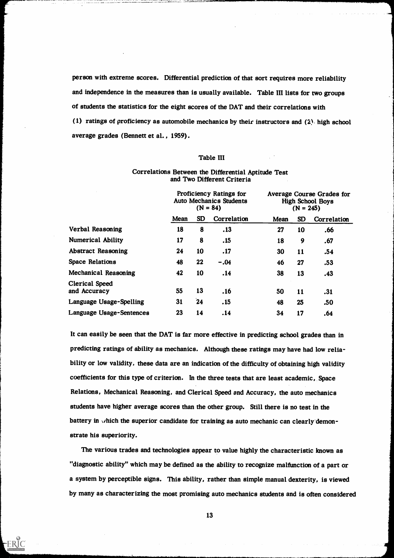person with extreme scores. Differential prediction of that sort requires more reliability and independence in the measures than is usually available. Table HI lists for two groups of students the statistics for the eight scores of the DAT and their correlations with (1) ratings of proficiency as automobile mechanics by their instructors and (2). high school average grades (Bennett et al. , 1959).

#### Table III

|                                       | Proficiency Ratings for<br><b>Auto Mechanics Students</b><br>$(N = 84)$ |           | <b>Average Course Grades for</b><br><b>High School Boys</b><br>$(N = 245)$ |      |           |             |
|---------------------------------------|-------------------------------------------------------------------------|-----------|----------------------------------------------------------------------------|------|-----------|-------------|
|                                       | Mean                                                                    | <b>SD</b> | Correlation                                                                | Mean | <b>SD</b> | Correlation |
| <b>Verbal Reasoning</b>               | 18                                                                      | 8         | .13                                                                        | 27   | 10        | .66         |
| <b>Numerical Ability</b>              | 17                                                                      | 8         | .15                                                                        | 18   | 9         | .67         |
| <b>Abstract Reasoning</b>             | 24                                                                      | 10        | .17                                                                        | 30   | 11        | .54         |
| <b>Space Relations</b>                | 48                                                                      | 22        | $-.04$                                                                     | 46   | 27        | .53         |
| Mechanical Reasoning                  | 42                                                                      | 10        | .14                                                                        | 38   | 13        | .43         |
| <b>Clerical Speed</b><br>and Accuracy | 55                                                                      | 13        | .16                                                                        | 50   | 11        | .31         |
| Language Usage-Spelling               | 31                                                                      | 24        | .15                                                                        | 48   | 25        | .50         |
| Language Usage-Sentences              | 23                                                                      | 14        | .14                                                                        | 34   | 17        | .64         |

#### Correlations Between the Differential Aptitude Test and Two Different Criteria

It can easily be seen that the DAT is far more effective in predicting school grades than in predicting ratings of ability as mechanics. Although these ratings may have had low reliability or low validity, these data are an indication of the difficulty of obtaining high validity coefficients for this type of criterion. In the three tests that are least academic, Space Relations, Mechanical Reasoning, and Clerical Speed and Accuracy, the auto mechanics students have higher average scores than the other group. Still there is no test in the battery in which the superior candidate for training as auto mechanic can clearly demonstrate his superiority.

The various trades and technologies appear to value highly the characteristic known as "diagnostic ability" which may be defined as the ability to recognize malfunction of a part or a system by perceptible signs. This ability, rather than simple manual dexterity, is viewed by many as characterizing the most promising auto mechanics students and is often considered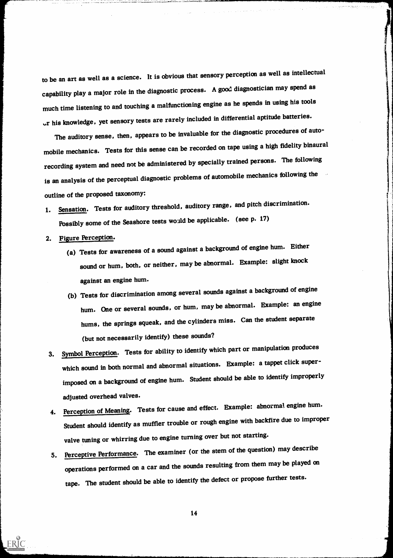to be an art as well as a science. It is obvious that sensory perception as well as intellectual capability play a major role in the diagnostic process. A good diagnostician may spend as much time listening to and touching a malfunctioning engine as he spends in using his tools his knowledge, yet sensory tests are rarely included in differential aptitude batteries.

The auditory sense, then, appears to be invaluable for the diagnostic procedures of automobile mechanics. Tests for this sense can be recorded on tape using a high fidelity binaural recording system and need not be administered by specially trained persons. The following is an analysis of the perceptual diagnostic problems of automobile mechanics following the outline of the proposed taxonomy:

- 1. Sensation. Tests for auditory threshold, auditory range, and pitch discrimination. Possibly some of the Seashore tests would be applicable. (see p. 17)
- 2. Figure Perception.

- (a) Tests for awareness of a sound against a background of engine hum. Either sound or hum, both, or neither, may be abnormal. Example: slight knock against an engine hum.
- (b) Tests for discrimination among several sounds against a background of engine hum. One or several sounds, or hum, may be abnormal. Example: an engine hums, the springs squeak, and the cylinders miss. Can the student separate (but not necessarily identify) these sounds?
- 3. Symbol Perception. Tests for ability to identify which part or manipulation produces which sound in both normal and abnormal situations. Example: a tappet click superimposed on a background of engine hum. Student should be able to identify improperly adjusted overhead valves.
- 4. Perception of Meaning. Tests for cause and effect. Example: abnormal engine hum. Student should identify as muffler trouble or rough engine with backfire due to improper valve tuning or whirring due to engine turning over but not starting.
- 5. Perceptive Performance. The examiner (or the stem of the question) may describe operations performed on a car and the sounds resulting from them may be played on tape. The student should be able to identify the defect or propose further tests.

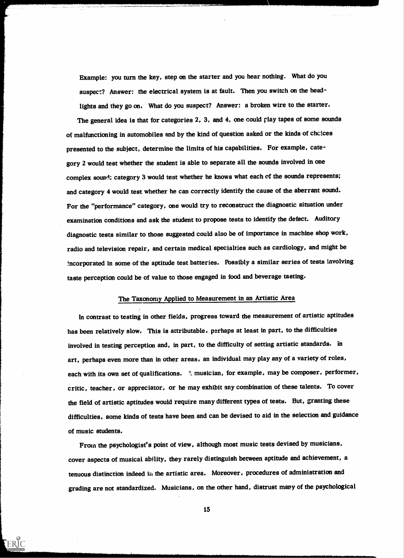Example: you turn the key, step on the starter and you hear nothing. What do you suspect? Answer: the electrical system is at fault. Then you switch on the headlights and they go on. What do you suspect? Answer: a broken wire to the starter.

The general idea is that for categories 2, 3, and 4, one could play tapes of some sounds of malfunctioning in automobiles and by the kind of question asked or the kinds of chcices presented to the subject, determine the limits of his capabilities. For example, category 2 would test whether the student is able to separate all the sounds involved in one complex sound; category 3 would test whether he knows what each of the sounds represents; and category 4 would test whether he can correctly identify the cause of the aberrant sound. For the "performance" category, one would try to reconstruct the diagnostic situation under examination conditions and ask the student to propose tests to identify the defect. Auditory diagnostic tests similar to those suggested could also be of importance in machine shop work, radio and television repair, and certain medical specialties such as cardiology, and might be 5.ncorporated in some of the aptitude test batteries. Possibly a similar series of tests involving taste perception could be of value to those engaged in food and beverage tasting.

## The Taxonomy Applied to Measurement in an Artistic Area

In contrast to testing in other fields, progress toward the measurement of artistic aptitudes has been relatively slow. This is attributable, perhaps at least in part, to the difficulties involved in testing perception and, in part, to the difficulty of setting artistic standards. in art, perhaps even more than in other areas, an individual may play any of a variety of roles, each with its own set of qualifications. Al musician, for example, may be composer, performer, critic, teacher, or appreciator, or he may exhibit any combination of these talents. To cover the field of artistic aptitudes would require many different types of tests. But, granting these difficulties, some kinds of tests have been and can be devised to aid in the selection and guidance of music students.

From the psychologist's point of view, although most music tests devised by musicians, cover aspects of musical ability, they rarely distinguish between aptitude and achievement, a tenuous distinction indeed in the artistic area. Moreover, procedures of administration and grading are not standardized. Musicians, on the other hand, distrust many of the psychological

15

**TERIC**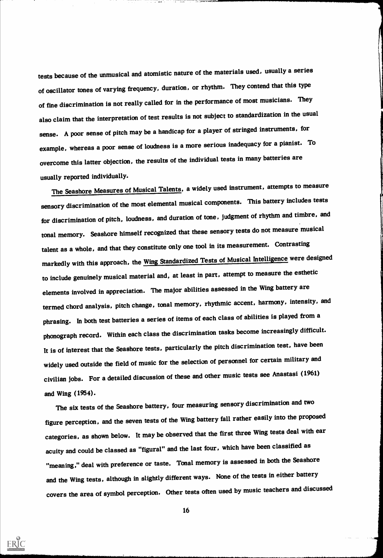tests because of the unmusical and atomistic nature of the materials used, usually a series of oscillator tones of varying frequency, duration, or rhythm. They contend that this type of fine discrimination is not really called for in the performance of most musicians. They also claim that the interpretation of test results is not subject to standardization in the usual sense. A poor sense of pitch may be a handicap for a player of stringed instruments, for example, whereas a poor sense of loudness is a more serious inadequacy for a pianist. To overcome this latter objection, the results of the individual tests in many batteries are usually reported individually.

The Seashore Measures of Musical Talents, a widely used instrument, attempts to measure sensory discrimination of the most elemental musical components. This battery includes tests for discrimination of pitch, loudness, and duration of tone, judgment of rhythm and timbre, and tonal memory. Seashore himself recognized that these sensory tests do not measure musical talent as a whole, and that they constitute only one tool in its measurement. Contrasting markedly with this approach, the Wing Standardized Tests of Musical Intelligence were designed to include genuinely musical material and, at least in part, attempt to measure the esthetic elements involved in appreciation. The major abilities assessed in the Wing battery are termed chord analysis, pitch change, tonal memory, rhythmic accent, harmony, intensity, and phrasing. In both test batteries a series of items of each class of abilities is played from a phonograph record. Within each class the discrimination tasks become increasingly difficult. It is of interest that the Seashore tests, particularly the pitch discrimination test, have been widely used outside the field of music for the selection of personnel for certain military and civilian jobs. For a detailed discussion of these and other music tests see Anastasi (1961) and Wing (1954).

The six tests of the Seashore battery, four measuring sensory discrimination and two figure perception, and the seven tests of the Wing battery fall rather easily into the proposed categories, as shown below. It may be observed that the first three Wing tests deal with ear acuity and could be classed as "figural" and the last four, which have been classified as "meaning," deal with preference or taste. Tonal memory is assessed in both the Seashore and the Wing tests, although in slightly different ways. None of the tests in either battery covers the area of symbol perception. Other tests often used by music teachers and discussed

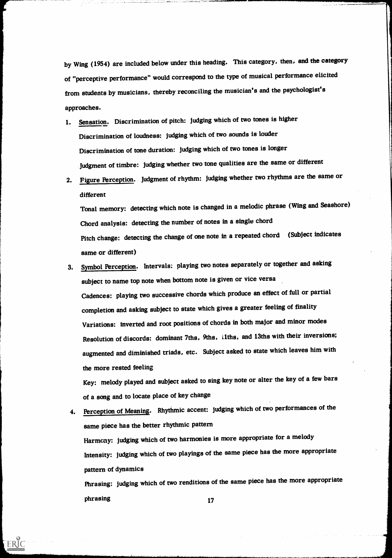by Wing (1954) are included below under this heading. This category, then, and the category of "perceptive performance" would correspond to the type of musical performance elicited from students by musicians, thereby reconciling the musician's and the psychologist's approaches.

- 1. Sensation. Discrimination of pitch: judging which of two tones is higher Discrimination of loudness: judging which of two sounds is louder Discrimination of tone duration: judging which of two tones is longer Judgment of timbre: judging whether two tone qualities are the same or different
- 2. Figure Perception. Judgment of rhythm: judging whether two rhythms are the same or different

Tonal memory: detecting which note is changed in a melodic phrase (Wing and Seashore) Chord analysis: detecting the number of notes in a single chord Pitch change: detecting the change of one note in a repeated chord (Subject indicates same or different)

3. Symbol Perception. Intervals: playing two notes separately or together and asking subject to name top note when bottom note is given or vice versa Cadences: playing two successive chords which produce an effect of full or partial completion and asking subject to state which gives a greater feeling of finality Variations: inverted and root positions of chords in both major and minor modes Resolution of discords: dominant 7ths, 9ths, llths, and 13ths with their inversions; augmented and diminished triads, etc. Subject asked to state which leaves him with the more rested feeling

Key: melody played and subject asked to sing key note or alter the key of a few bars of a song and to locate place of key change

4. Perception of Meaning. Rhythmic accent: judging which of two performances of the same piece has the better rhythmic pattern Harmony: judging which of two harmonies is more appropriate for a melody Intensity: judging which of two playings of the same piece has the more appropriate pattern of dynamics Phrasing: judging which of two renditions of the same piece has the more appropriate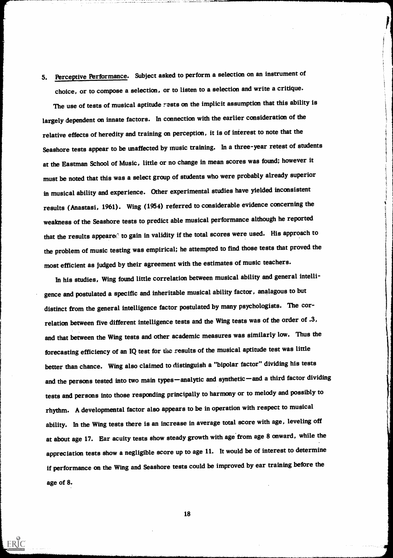# 5. Perceptive Performance. Subject asked to perform a selection on an instrument of choice, or to compose a selection, or to listen to a selection and write a critique.

1

The use of tests of musical aptitude rests on the implicit assumption that this ability is largely dependent on innate factors. In connection with the earlier consideration of the relative effects of heredity and training on perception, it is of interest to note that the Seashore tests appear to be unaffected by music training. In a three-year retest of students at the Eastman School of Music, little or no change in mean scores was found; however it must be noted that this was a select group of students who were probably already superior in musical ability and experience. Other experimental studies have yielded inconsistent results (Anastasi, 1961). Wing (1954) referred to considerable evidence concerning the weakness of the Seashore tests to predict able musical performance although he reported that the results appeared to gain in validity if the total scores were used. His approach to the problem of music testing was empirical; he attempted to find those tests that proved the most efficient as judged by their agreement with the estimates of music teachers.

In his studies, Wing found little correlation between musical ability and general intelligence and postulated a specific and inheritable musical ability factor, analagous to but distinct from the general intelligence factor postulated by many psychologists. The correlation between five different intelligence tests and the Wing tests was of the order of .3, and that between the Wing tests and other academic measures was similarly low. Thus the forecasting efficiency of an IQ test for the results of the musical aptitude test was little better than chance. Wing also claimed to distinguish a "bipolar factor" dividing his tests and the persons tested into two main types-analytic and synthetic-and a third factor dividing tests and persons into those responding principally to harmony or to melody and possibly to rhythm. A developmental factor also appears to be in operation with respect to musical ability. In the Wing tests there is an increase in average total score with age, leveling off at about age 17. Ear acuity tests show steady growth with age from age 8 onward, while the appreciation tests show a negligible score up to age 11. It would be of interest to determine if performance on the Wing and Seashore tests could be improved by ear training before the age of 8.

18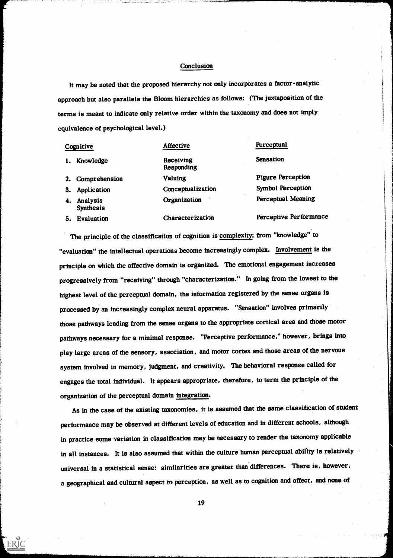#### **Conclusion**

It may be noted that the proposed hierarchy not only incorporates a factor-analytic approach but also parallels the Bloom hierarchies as follows: (The juxtaposition of the terms is meant to indicate only relative order within the taxonomy and does not imply equivalence of psychological level.)

|    | Cognitive                    | <b>Affective</b>        | Perceptual                |  |  |
|----|------------------------------|-------------------------|---------------------------|--|--|
| 1. | Knowledge                    | Receiving<br>Responding | <b>Sensation</b>          |  |  |
|    | 2. Comprehension             | <b>Valuing</b>          | <b>Figure Perception</b>  |  |  |
| 3. | Application                  | Conceptualization       | <b>Symbol Perception</b>  |  |  |
| 4. | Analysis<br><b>Synthesis</b> | Organization            | <b>Perceptual Meaning</b> |  |  |
| 5. | <b>Evaluation</b>            | Characterization        | Perceptive Performance    |  |  |

The principle of the classification of cognition is complexity; from "knowledge" to "evaluation" the intellectual operations become increasingly complex. Involvement is the principle on which the affective domain is organized. The emotional engagement increases progressively from "receiving" through "characterization." In going from the lowest to the highest level of the perceptual domain, the information registered by the sense organs is processed by an increasingly complex neural apparatus. "Sensation" involves primarily those pathways leading from the sense organs to the appropriate cortical area and those motor pathways necessary for a minimal response. "Perceptive performance," however, brings into play large areas of the sensory, association, and motor cortex and those areas of the nervous system involved in memory, judgment, and creativity. The behavioral response called for engages the total individual. It appears appropriate, therefore, to term the principle of the organization of the perceptual domain integration.

As in the case of the existing taxonomies, it is assumed that the same classification of student performance may be observed at different levels of education and in different schools, although in practice some variation in classification may be necessary to render the taxonomy applicable in all instances. It is also assumed that within the culture human perceptual ability is relatively universal in a statistical sense: similarities are greater than differences. There is, however, a geographical and cultural aspect to perception, as well as to cognition and affect, and none of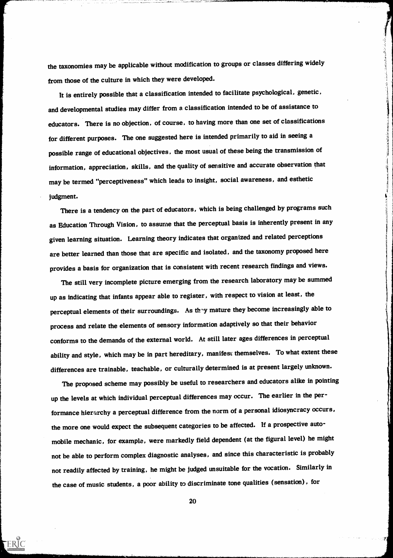the taxonomies may be applicable without modification to groups or classes differing widely from those of the culture in which they were developed.

.<br>شامل

It is entirely possible that a classification intended to facilitate psychological, genetic, and developmental studies may differ from a classification intended to be of assistance to educators. There is no objection, of course, to having more than one set of classifications for different purposes. The one suggested here is intended primarily to aid in seeing a possible range of educational objectives, the most usual of these being the transmission of information, appreciation, skills, and the quality of sensitive and accurate observation that may be termed "perceptiveness" which leads to insight, social awareness, and esthetic judgment.

There is a tendency on the part of educators, which is being challenged by programs such as Education Through Vision, to assume that the perceptual basis is inherently present in any given learning situation. Learning theory indicates that organized and related perceptions are better learned than those that are specific and isolated, and the taxonomy proposed here provides a basis for organization that is consistent with recent research findings and views.

The still very incomplete picture emerging from the research laboratory may be summed up as indicating that infants appear able to register, with respect to vision at least, the perceptual elements of their surroundings. As they mature they become increasingly able to process and relate the elements of sensory information adaptively so that their behavior conforms to the demands of the external world. At still later ages differences in perceptual ability and style, which may be in part hereditary, manifest themselves. To what extent these differences are trainable, teachable, or culturally determined is at present largely unknown.

The proposed scheme may possibly be useful to researchers and educators alike in pointing up the levels at which individual perceptual differences may occur. The earlier in the performance hierarchy a perceptual difference from the norm of a personal idiosyncracy occurs, the more one would expect the subsequent categories to be affected. If a prospective automobile mechanic, for example, were markedly field dependent (at the figural level) he might not be able to perform complex diagnostic analyses, and since this characteristic is probably not readily affected by training, he might be judged unsuitable for the vocation. Similarly in the case of music students, a poor ability to discriminate tone qualities (sensation), for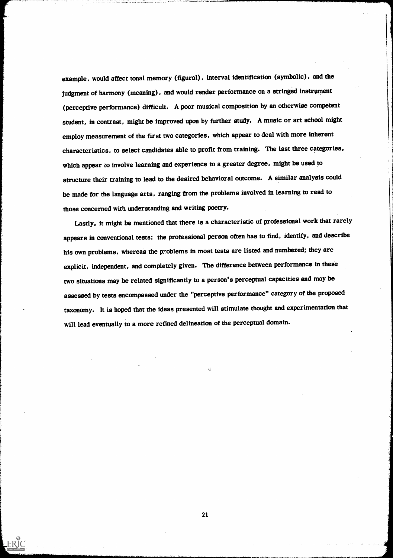example, would affect tonal memory (figural), interval identification (symbolic), and the judgment of harmony (meaning), and would render performance on a stringed instrument (perceptive performance) difficult. A poor musical composition by an otherwise competent student, in contrast, might be improved upon by further study. A music or art school might employ measurement of the first two categories, which appear to deal with more inherent characteristics, to select candidates able to profit from training. The last three categories, which appear to involve learning and experience to a greater degree, might be used to structure their training to lead to the desired behavioral outcome. A similar analysis could be made for the language arts, ranging from the problems involved in learning to read to those concerned with understanding and writing poetry.

Lastly, it might be mentioned that there is a characteristic of professional work that rarely appears in conventional tests: the professional person often has to find, identify, and describe his own problems, whereas the problems in most tests are listed and numbered; they are explicit, independent, and completely given. The difference between performance in these two situations may be related significantly to a person's perceptual capacities and may be assessed by tests encompassed under the "perceptive performance" category of the proposed taxonomy. It is hoped that the ideas presented will stimulate thought and experimentation that will lead eventually to a more refined delineation of the perceptual domain.